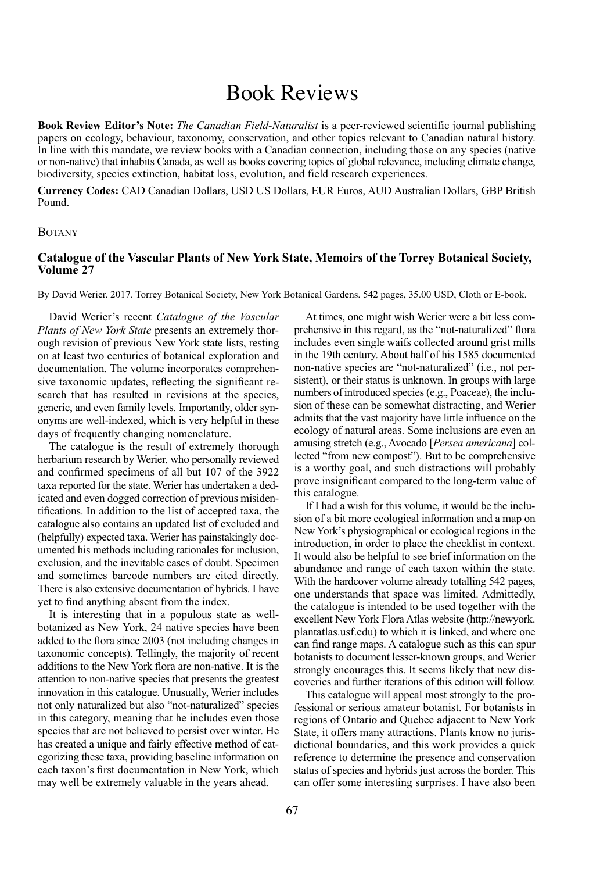## Book Reviews

**Book Review Editor's Note:** *The Canadian Field-Naturalist* is a peer-reviewed scientific journal publishing papers on ecology, behaviour, taxonomy, conservation, and other topics relevant to Canadian natural history. In line with this mandate, we review books with a Canadian connection, including those on any species (native or non-native) that inhabits Canada, as well as books covering topics of global relevance, including climate change, biodiversity, species extinction, habitat loss, evolution, and field research experiences.

**Currency Codes:** CAD Canadian Dollars, USD US Dollars, EUR Euros, AUD Australian Dollars, GBP British Pound.

## **BOTANY**

## **Catalogue of the Vascular Plants of New York State, Memoirs of the Torrey Botanical Society, Volume 27**

By David Werier. 2017. torrey Botanical Society, new york Botanical Gardens. 542 pages, 35.00 USD, Cloth or E-book.

David Werier's recent *Catalogue of the Vascular Plants of New York State* presents an extremely thorough revision of previous New York state lists, resting on at least two centuries of botanical exploration and documentation. The volume incorporates comprehensive taxonomic updates, reflecting the significant research that has resulted in revisions at the species, generic, and even family levels. Importantly, older synonyms are well-indexed, which is very helpful in these days of frequently changing nomenclature.

The catalogue is the result of extremely thorough herbarium research by Werier, who personally reviewed and confirmed specimens of all but 107 of the 3922 taxa reported for the state. Werier has undertaken a dedicated and even dogged correction of previous misidentifications. In addition to the list of accepted taxa, the catalogue also contains an updated list of excluded and (helpfully) expected taxa. Werier has painstakingly documented his methods including rationales for inclusion, exclusion, and the inevitable cases of doubt. Specimen and sometimes barcode numbers are cited directly. There is also extensive documentation of hybrids. I have yet to find anything absent from the index.

It is interesting that in a populous state as wellbotanized as New York, 24 native species have been added to the flora since 2003 (not including changes in taxonomic concepts). Tellingly, the majority of recent additions to the New York flora are non-native. It is the attention to non-native species that presents the greatest innovation in this catalogue. Unusually, Werier includes not only naturalized but also "not-naturalized" species in this category, meaning that he includes even those species that are not believed to persist over winter. He has created a unique and fairly effective method of categorizing these taxa, providing baseline information on each taxon's first documentation in New York, which may well be extremely valuable in the years ahead.

At times, one might wish Werier were a bit less comprehensive in this regard, as the "not-naturalized" flora includes even single waifs collected around grist mills in the 19th century. About half of his 1585 documented non-native species are "not-naturalized" (i.e., not persistent), or their status is unknown. In groups with large numbers of introduced species (e.g., Poaceae), the inclusion of these can be somewhat distracting, and Werier admits that the vast majority have little influence on the ecology of natural areas. Some inclusions are even an amusing stretch (e.g., Avocado [*Persea americana*] collected "from new compost"). But to be comprehensive is a worthy goal, and such distractions will probably prove insignificant compared to the long-term value of this catalogue.

If I had a wish for this volume, it would be the inclusion of a bit more ecological information and a map on New York's physiographical or ecological regions in the introduction, in order to place the checklist in context. It would also be helpful to see brief information on the abundance and range of each taxon within the state. With the hardcover volume already totalling 542 pages, one understands that space was limited. Admittedly, the catalogue is intended to be used together with the excellent New York Flora Atlas website [\(http://newyork.](http://newyork.plantatlas.usf.edu) [plantatlas.usf.edu\)](http://newyork.plantatlas.usf.edu) to which it is linked, and where one can find range maps. A catalogue such as this can spur botanists to document lesser-known groups, and Werier strongly encourages this. It seems likely that new discoveries and further iterations of this edition will follow.

This catalogue will appeal most strongly to the professional or serious amateur botanist. For botanists in regions of Ontario and Quebec adjacent to New York State, it offers many attractions. Plants know no jurisdictional boundaries, and this work provides a quick reference to determine the presence and conservation status of species and hybrids just across the border. This can offer some interesting surprises. I have also been